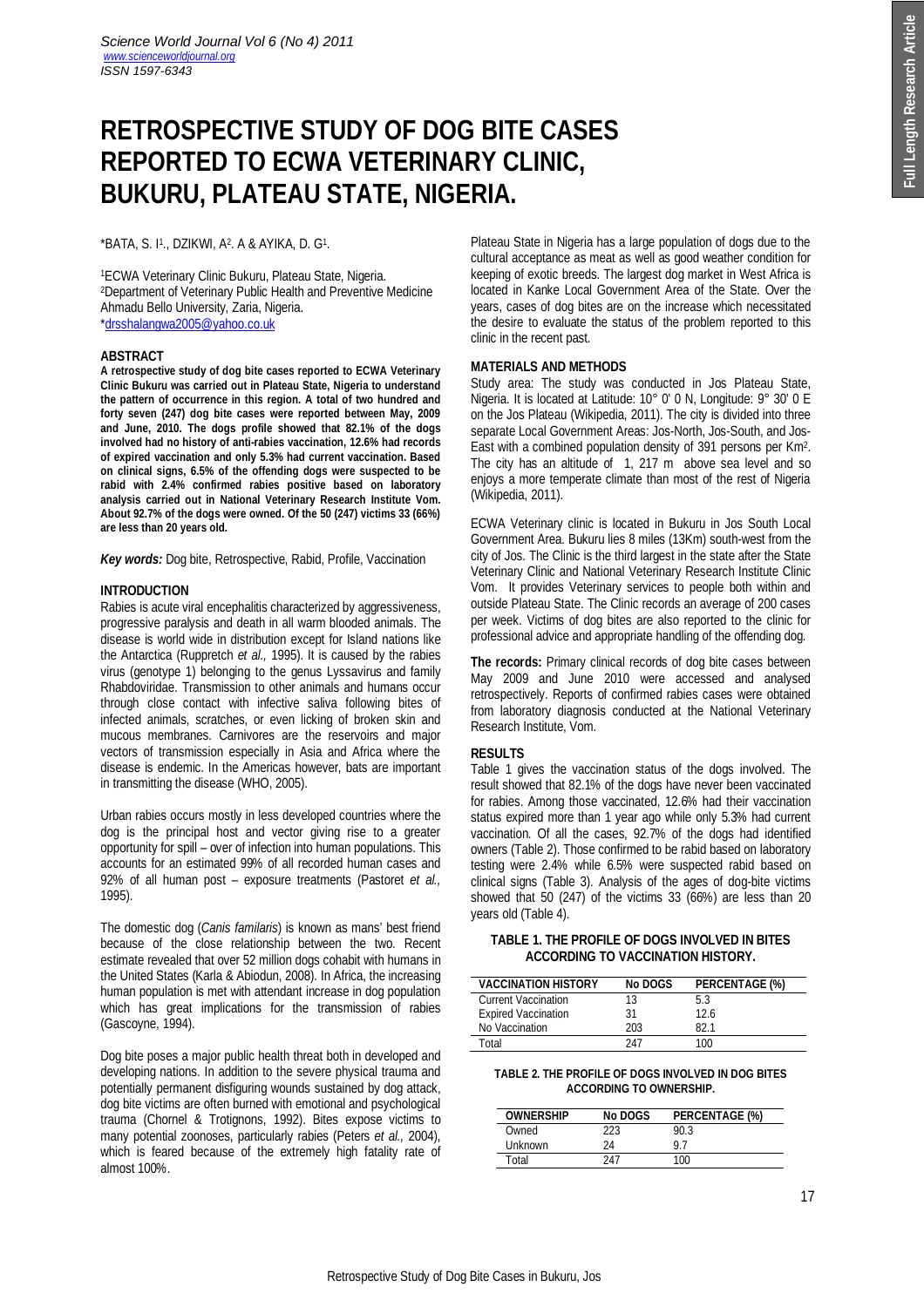# **RETROSPECTIVE STUDY OF DOG BITE CASES REPORTED TO ECWA VETERINARY CLINIC, BUKURU, PLATEAU STATE, NIGERIA.**

# \*BATA, S. I1., DZIKWI, A2. A & AYIKA, D. G1.

<sup>1</sup>ECWA Veterinary Clinic Bukuru, Plateau State, Nigeria. <sup>2</sup>Department of Veterinary Public Health and Preventive Medicine Ahmadu Bello University, Zaria, Nigeria. \*drsshalangwa2005@yahoo.co.uk

#### **ABSTRACT**

**A retrospective study of dog bite cases reported to ECWA Veterinary Clinic Bukuru was carried out in Plateau State, Nigeria to understand the pattern of occurrence in this region. A total of two hundred and forty seven (247) dog bite cases were reported between May, 2009 and June, 2010. The dogs profile showed that 82.1% of the dogs involved had no history of anti-rabies vaccination, 12.6% had records of expired vaccination and only 5.3% had current vaccination. Based on clinical signs, 6.5% of the offending dogs were suspected to be rabid with 2.4% confirmed rabies positive based on laboratory analysis carried out in National Veterinary Research Institute Vom. About 92.7% of the dogs were owned. Of the 50 (247) victims 33 (66%) are less than 20 years old.**

*Key words:* Dog bite, Retrospective, Rabid, Profile, Vaccination

## **INTRODUCTION**

Rabies is acute viral encephalitis characterized by aggressiveness, progressive paralysis and death in all warm blooded animals. The disease is world wide in distribution except for Island nations like the Antarctica (Ruppretch *et al.,* 1995). It is caused by the rabies virus (genotype 1) belonging to the genus Lyssavirus and family Rhabdoviridae. Transmission to other animals and humans occur through close contact with infective saliva following bites of infected animals, scratches, or even licking of broken skin and mucous membranes. Carnivores are the reservoirs and major vectors of transmission especially in Asia and Africa where the disease is endemic. In the Americas however, bats are important in transmitting the disease (WHO, 2005).

Urban rabies occurs mostly in less developed countries where the dog is the principal host and vector giving rise to a greater opportunity for spill – over of infection into human populations. This accounts for an estimated 99% of all recorded human cases and 92% of all human post – exposure treatments (Pastoret *et al.,* 1995).

The domestic dog (*Canis familaris*) is known as mans' best friend because of the close relationship between the two. Recent estimate revealed that over 52 million dogs cohabit with humans in the United States (Karla & Abiodun, 2008). In Africa, the increasing human population is met with attendant increase in dog population which has great implications for the transmission of rabies (Gascoyne, 1994).

Dog bite poses a major public health threat both in developed and developing nations. In addition to the severe physical trauma and potentially permanent disfiguring wounds sustained by dog attack, dog bite victims are often burned with emotional and psychological trauma (Chornel & Trotignons, 1992). Bites expose victims to many potential zoonoses, particularly rabies (Peters *et al.,* 2004), which is feared because of the extremely high fatality rate of almost 100%.

Plateau State in Nigeria has a large population of dogs due to the cultural acceptance as meat as well as good weather condition for keeping of exotic breeds. The largest dog market in West Africa is located in Kanke Local Government Area of the State. Over the years, cases of dog bites are on the increase which necessitated the desire to evaluate the status of the problem reported to this clinic in the recent past.

# **MATERIALS AND METHODS**

Study area: The study was conducted in Jos Plateau State, Nigeria. It is located at Latitude: 10° 0' 0 N, Longitude: 9° 30' 0 E on the Jos Plateau (Wikipedia, 2011). The city is divided into three separate Local Government Areas: Jos-North, Jos-South, and Jos-East with a combined population density of 391 persons per Km<sup>2</sup>. The city has an altitude of 1, 217 m above sea level and so enjoys a more temperate climate than most of the rest of Nigeria (Wikipedia, 2011).

ECWA Veterinary clinic is located in Bukuru in Jos South Local Government Area. Bukuru lies 8 miles (13Km) south-west from the city of Jos. The Clinic is the third largest in the state after the State Veterinary Clinic and National Veterinary Research Institute Clinic Vom. It provides Veterinary services to people both within and outside Plateau State. The Clinic records an average of 200 cases per week. Victims of dog bites are also reported to the clinic for professional advice and appropriate handling of the offending dog.

**The records:** Primary clinical records of dog bite cases between May 2009 and June 2010 were accessed and analysed retrospectively. Reports of confirmed rabies cases were obtained from laboratory diagnosis conducted at the National Veterinary Research Institute, Vom.

## **RESULTS**

Table 1 gives the vaccination status of the dogs involved. The result showed that 82.1% of the dogs have never been vaccinated for rabies. Among those vaccinated, 12.6% had their vaccination status expired more than 1 year ago while only 5.3% had current vaccination. Of all the cases, 92.7% of the dogs had identified owners (Table 2). Those confirmed to be rabid based on laboratory testing were 2.4% while 6.5% were suspected rabid based on clinical signs (Table 3). Analysis of the ages of dog-bite victims showed that 50 (247) of the victims 33 (66%) are less than 20 years old (Table 4).

## **TABLE 1. THE PROFILE OF DOGS INVOLVED IN BITES ACCORDING TO VACCINATION HISTORY.**

| <b>VACCINATION HISTORY</b> | <b>No DOGS</b> | <b>PERCENTAGE (%)</b> |
|----------------------------|----------------|-----------------------|
| <b>Current Vaccination</b> | 13             | 53                    |
| <b>Expired Vaccination</b> | 31             | 12.6                  |
| No Vaccination             | 203            | 82.1                  |
| Total                      | 247            | 100                   |

#### **TABLE 2. THE PROFILE OF DOGS INVOLVED IN DOG BITES ACCORDING TO OWNERSHIP.**

| <b>OWNERSHIP</b> | <b>No DOGS</b> | <b>PERCENTAGE (%)</b> |
|------------------|----------------|-----------------------|
| Owned            | 223            | 90.3                  |
| Unknown          | 24             | Q                     |
| Total            | 247            | 100                   |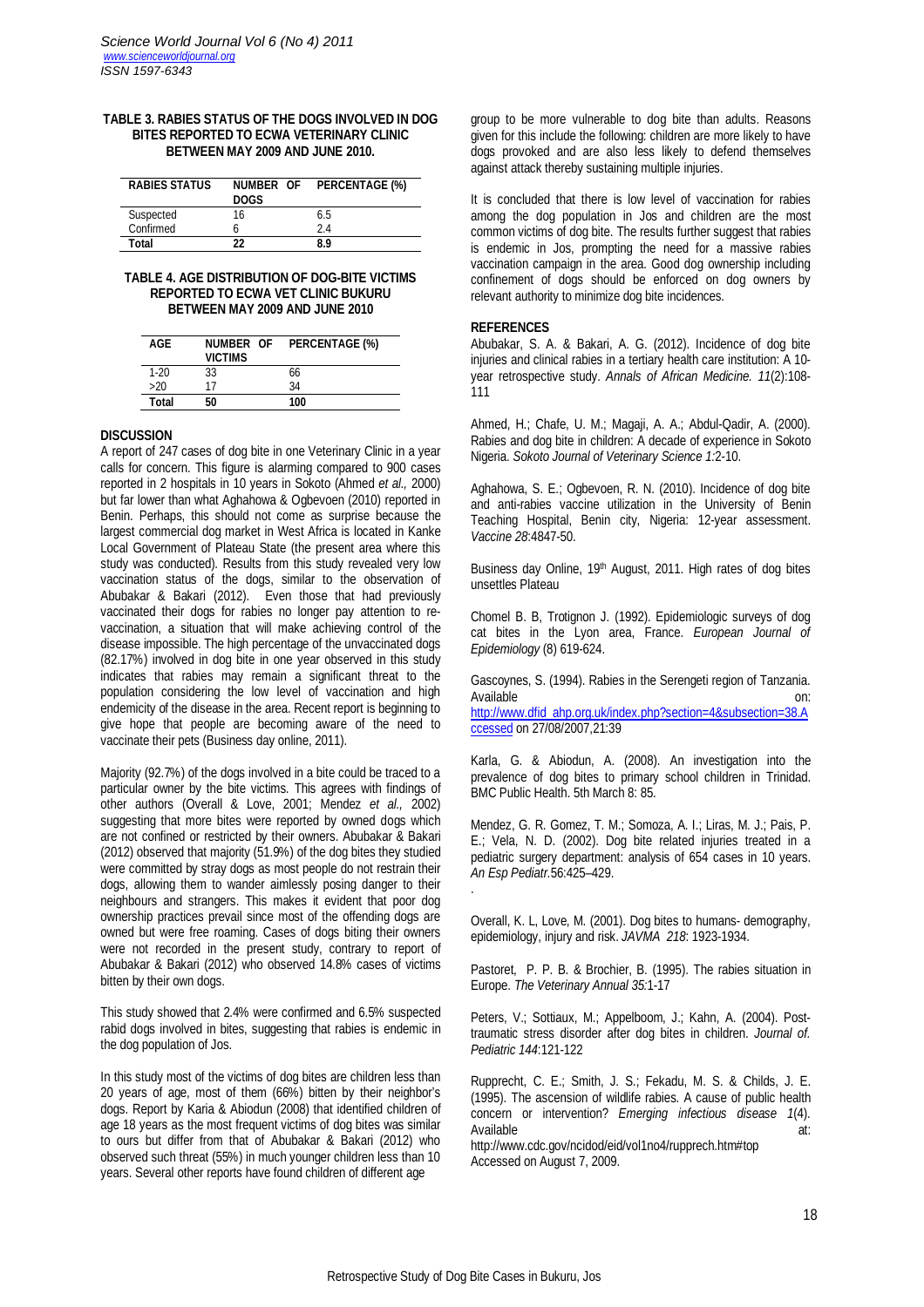#### **TABLE 3. RABIES STATUS OF THE DOGS INVOLVED IN DOG BITES REPORTED TO ECWA VETERINARY CLINIC BETWEEN MAY 2009 AND JUNE 2010.**

| <b>RABIES STATUS</b> | NUMBER OF<br><b>DOGS</b> | <b>PERCENTAGE (%)</b> |
|----------------------|--------------------------|-----------------------|
| Suspected            | 16                       | 65                    |
| Confirmed            |                          | 24                    |
| Total                | 22                       | ጸ ዓ                   |

#### **TABLE 4. AGE DISTRIBUTION OF DOG-BITE VICTIMS REPORTED TO ECWA VET CLINIC BUKURU BETWEEN MAY 2009 AND JUNE 2010**

| AGF          | NUMBER OF<br><b>VICTIMS</b> | <b>PERCENTAGE (%)</b> |
|--------------|-----------------------------|-----------------------|
| $1-20$       | 33                          | 66                    |
| >20          | 17                          | 34                    |
| <b>Total</b> | 50                          | 100                   |

## **DISCUSSION**

A report of 247 cases of dog bite in one Veterinary Clinic in a year calls for concern. This figure is alarming compared to 900 cases reported in 2 hospitals in 10 years in Sokoto (Ahmed *et al.,* 2000) but far lower than what Aghahowa & Ogbevoen (2010) reported in Benin. Perhaps, this should not come as surprise because the largest commercial dog market in West Africa is located in Kanke Local Government of Plateau State (the present area where this study was conducted). Results from this study revealed very low vaccination status of the dogs, similar to the observation of Abubakar & Bakari (2012). Even those that had previously vaccinated their dogs for rabies no longer pay attention to revaccination, a situation that will make achieving control of the disease impossible. The high percentage of the unvaccinated dogs (82.17%) involved in dog bite in one year observed in this study indicates that rabies may remain a significant threat to the population considering the low level of vaccination and high endemicity of the disease in the area. Recent report is beginning to give hope that people are becoming aware of the need to vaccinate their pets (Business day online, 2011).

Majority (92.7%) of the dogs involved in a bite could be traced to a particular owner by the bite victims. This agrees with findings of other authors (Overall & Love, 2001; Mendez *et al.,* 2002) suggesting that more bites were reported by owned dogs which are not confined or restricted by their owners. Abubakar & Bakari (2012) observed that majority (51.9%) of the dog bites they studied were committed by stray dogs as most people do not restrain their dogs, allowing them to wander aimlessly posing danger to their neighbours and strangers. This makes it evident that poor dog ownership practices prevail since most of the offending dogs are owned but were free roaming. Cases of dogs biting their owners were not recorded in the present study, contrary to report of Abubakar & Bakari (2012) who observed 14.8% cases of victims bitten by their own dogs.

This study showed that 2.4% were confirmed and 6.5% suspected rabid dogs involved in bites, suggesting that rabies is endemic in the dog population of Jos.

In this study most of the victims of dog bites are children less than 20 years of age, most of them (66%) bitten by their neighbor's dogs. Report by Karia & Abiodun (2008) that identified children of age 18 years as the most frequent victims of dog bites was similar to ours but differ from that of Abubakar & Bakari (2012) who observed such threat (55%) in much younger children less than 10 years. Several other reports have found children of different age

group to be more vulnerable to dog bite than adults. Reasons given for this include the following: children are more likely to have dogs provoked and are also less likely to defend themselves against attack thereby sustaining multiple injuries.

It is concluded that there is low level of vaccination for rabies among the dog population in Jos and children are the most common victims of dog bite. The results further suggest that rabies is endemic in Jos, prompting the need for a massive rabies vaccination campaign in the area. Good dog ownership including confinement of dogs should be enforced on dog owners by relevant authority to minimize dog bite incidences.

#### **REFERENCES**

Abubakar, S. A. & Bakari, A. G. (2012). Incidence of dog bite injuries and clinical rabies in a tertiary health care institution: A 10 year retrospective study. *Annals of African Medicine. 11*(2):108- 111

Ahmed, H.; Chafe, U. M.; Magaji, A. A.; Abdul-Qadir, A. (2000). Rabies and dog bite in children: A decade of experience in Sokoto Nigeria. *Sokoto Journal of Veterinary Science 1:*2-10.

Aghahowa, S. E.; Ogbevoen, R. N. (2010). Incidence of dog bite and anti-rabies vaccine utilization in the University of Benin Teaching Hospital, Benin city, Nigeria: 12-year assessment. *Vaccine 28*:4847-50.

Business day Online, 19th August, 2011. High rates of dog bites unsettles Plateau

Chomel B. B, Trotignon J. (1992). Epidemiologic surveys of dog cat bites in the Lyon area, France. *European Journal of Epidemiology* (8) 619-624.

Gascoynes, S. (1994). Rabies in the Serengeti region of Tanzania. Available on: http://www.dfid\_ahp.org.uk/index.php?section=4&subsection=38.A ccessed on 27/08/2007,21:39

Karla, G. & Abiodun, A. (2008). An investigation into the prevalence of dog bites to primary school children in Trinidad. BMC Public Health. 5th March 8: 85.

Mendez, G. R. Gomez, T. M.; Somoza, A. I.; Liras, M. J.; Pais, P. E.; Vela, N. D. (2002). Dog bite related injuries treated in a pediatric surgery department: analysis of 654 cases in 10 years. *An Esp Pediatr.*56:425–429.

Overall, K. L, Love, M. (2001). Dog bites to humans- demography, epidemiology, injury and risk. *JAVMA 218*: 1923-1934.

Pastoret, P. P. B. & Brochier, B. (1995). The rabies situation in Europe. *The Veterinary Annual 35:*1-17

Peters, V.; Sottiaux, M.; Appelboom, J.; Kahn, A. (2004). Posttraumatic stress disorder after dog bites in children. *Journal of. Pediatric 144*:121-122

Rupprecht, C. E.; Smith, J. S.; Fekadu, M. S. & Childs, J. E. (1995). The ascension of wildlife rabies. A cause of public health concern or intervention? *Emerging infectious disease 1*(4). Available at:

http://www.cdc.gov/ncidod/eid/vol1no4/rupprech.htm#top Accessed on August 7, 2009.

.